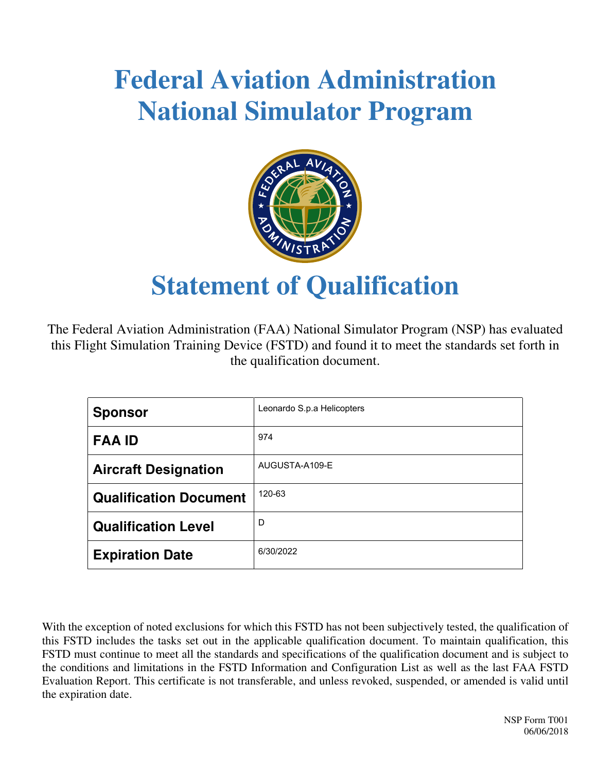# **Federal Aviation Administration National Simulator Program**



## **Statement of Qualification**

The Federal Aviation Administration (FAA) National Simulator Program (NSP) has evaluated this Flight Simulation Training Device (FSTD) and found it to meet the standards set forth in the qualification document.

| <b>Sponsor</b>                | Leonardo S.p.a Helicopters |
|-------------------------------|----------------------------|
| <b>FAA ID</b>                 | 974                        |
| <b>Aircraft Designation</b>   | AUGUSTA-A109-E             |
| <b>Qualification Document</b> | 120-63                     |
| <b>Qualification Level</b>    | D                          |
| <b>Expiration Date</b>        | 6/30/2022                  |

With the exception of noted exclusions for which this FSTD has not been subjectively tested, the qualification of this FSTD includes the tasks set out in the applicable qualification document. To maintain qualification, this FSTD must continue to meet all the standards and specifications of the qualification document and is subject to the conditions and limitations in the FSTD Information and Configuration List as well as the last FAA FSTD Evaluation Report. This certificate is not transferable, and unless revoked, suspended, or amended is valid until the expiration date.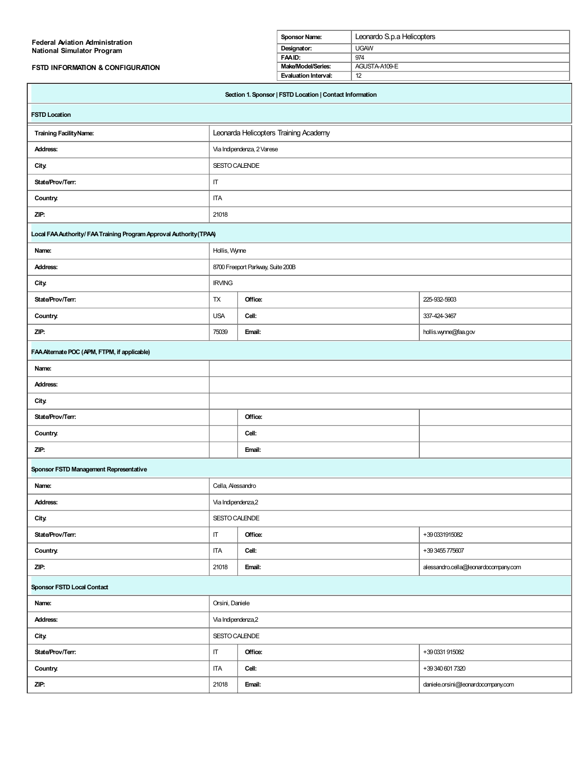| <b>Federal Aviation Administration</b>                              |                     | Leonardo S.p.a Helicopters<br>Sponsor Name: |                                                          |    |                                      |
|---------------------------------------------------------------------|---------------------|---------------------------------------------|----------------------------------------------------------|----|--------------------------------------|
| National Simulator Program                                          |                     | Designator:                                 | <b>UGAW</b>                                              |    |                                      |
| FSTD INFORMATION & CONFIGURATION                                    |                     | FAAID:<br>Make/Model/Series:                | 974<br>AGUSTA-A109-E                                     |    |                                      |
|                                                                     |                     |                                             |                                                          | 12 |                                      |
|                                                                     |                     |                                             | Section 1. Sponsor   FSTD Location   Contact Information |    |                                      |
| <b>FSTD Location</b>                                                |                     |                                             |                                                          |    |                                      |
| <b>Training Facility Name:</b>                                      |                     |                                             | Leonarda Helicopters Training Academy                    |    |                                      |
| <b>Address:</b>                                                     |                     | Via Indipendenza, 2 Varese                  |                                                          |    |                                      |
| <b>City.</b>                                                        | SESTO CALENDE       |                                             |                                                          |    |                                      |
| State/Prov/Terr:                                                    | IT                  |                                             |                                                          |    |                                      |
| Country.                                                            | <b>ITA</b>          |                                             |                                                          |    |                                      |
| ZIP:                                                                | 21018               |                                             |                                                          |    |                                      |
| Local FAA Authority/ FAA Training Program Approval Authority (TPAA) |                     |                                             |                                                          |    |                                      |
| Name:                                                               | Hollis, Wynne       |                                             |                                                          |    |                                      |
| <b>Address:</b>                                                     |                     | 8700 Freeport Parkway, Suite 200B           |                                                          |    |                                      |
| <b>City.</b>                                                        | <b>IRVING</b>       |                                             |                                                          |    |                                      |
| State/Prov/Terr:                                                    | TX                  | Office:                                     |                                                          |    | 225-932-5903                         |
| Country.                                                            | <b>USA</b>          | Cell:                                       |                                                          |    | 337-424-3467                         |
| ZIP:                                                                | 75039               | Email:                                      |                                                          |    | hollis.wynne@faa.gov                 |
| FAA Alternate POC (APM, FTPM, if applicable)                        |                     |                                             |                                                          |    |                                      |
| Name:                                                               |                     |                                             |                                                          |    |                                      |
| <b>Address:</b>                                                     |                     |                                             |                                                          |    |                                      |
| City                                                                |                     |                                             |                                                          |    |                                      |
| State/Prov/Terr:                                                    | Office:             |                                             |                                                          |    |                                      |
| Country.                                                            | Cell:               |                                             |                                                          |    |                                      |
| ZIP:                                                                | Email:              |                                             |                                                          |    |                                      |
| Sponsor FSTD Management Representative                              |                     |                                             |                                                          |    |                                      |
| Name:                                                               | Cella, Alessandro   |                                             |                                                          |    |                                      |
| <b>Address:</b>                                                     | Via Indipendenza, 2 |                                             |                                                          |    |                                      |
| <b>City</b>                                                         | SESTO CALENDE       |                                             |                                                          |    |                                      |
| State/Prov/Terr:                                                    | IT.                 | Office:                                     |                                                          |    | +39 0331915082                       |
| Country.                                                            | <b>ITA</b>          | Cell:                                       |                                                          |    | +39 3455 775607                      |
| ZIP:                                                                | 21018               | Email:                                      |                                                          |    | alessandro.cella@leonardocompany.com |
| <b>Sponsor FSTD Local Contact</b>                                   |                     |                                             |                                                          |    |                                      |
| Orsini, Daniele<br>Name:                                            |                     |                                             |                                                          |    |                                      |
| <b>Address:</b>                                                     | Via Indipendenza, 2 |                                             |                                                          |    |                                      |
| <b>City</b>                                                         | SESTO CALENDE       |                                             |                                                          |    |                                      |
| State/Prov/Terr:                                                    | $\sf IT$            | Office:                                     |                                                          |    | +39 0331 915082                      |
| Country.                                                            | <b>ITA</b>          | Cell:                                       |                                                          |    | +39 340 601 7320                     |
| ZIP:                                                                | 21018               | Email:                                      |                                                          |    | daniele.orsini@leonardocompany.com   |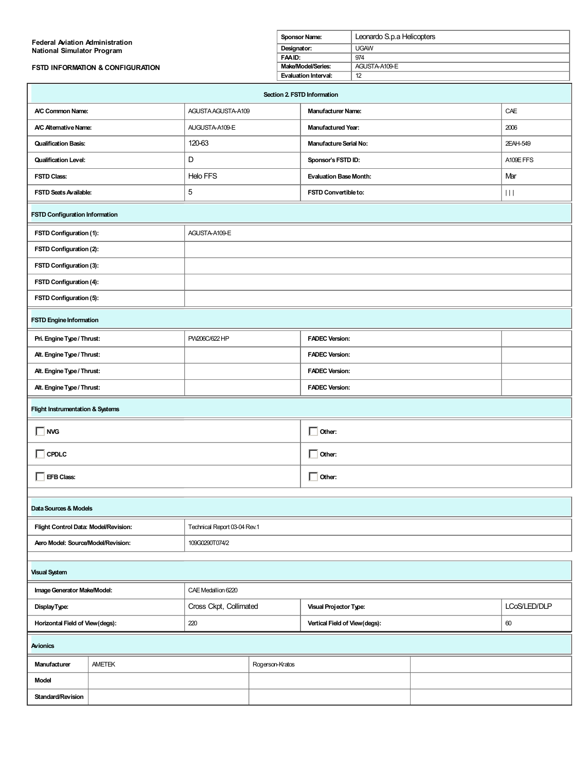| <b>Federal Aviation Administration</b><br>National Simulator Program<br>FSTD INFORMATION & CONFIGURATION |                                                      |                              | Sponsor Name:<br>Designator:<br>FAAID:<br>Make/Model/Series: |                             | Leonardo S.p.a Helicopters          |  |  |                       |
|----------------------------------------------------------------------------------------------------------|------------------------------------------------------|------------------------------|--------------------------------------------------------------|-----------------------------|-------------------------------------|--|--|-----------------------|
|                                                                                                          |                                                      |                              |                                                              |                             | <b>UGAW</b><br>974                  |  |  |                       |
|                                                                                                          |                                                      |                              |                                                              |                             | AGUSTA-A109-E                       |  |  |                       |
|                                                                                                          |                                                      |                              |                                                              | <b>Evaluation Interval:</b> | 12                                  |  |  |                       |
|                                                                                                          |                                                      |                              |                                                              |                             | Section 2. FSTD Information         |  |  |                       |
| A/C Common Name:                                                                                         |                                                      | AGUSTA AGUSTA-A109           |                                                              |                             | <b>Manufacturer Name:</b>           |  |  | CAE                   |
| A/C Alternative Name:                                                                                    |                                                      | AUGUSTA-A109-E               |                                                              |                             | <b>Manufactured Year:</b>           |  |  | 2006                  |
| <b>Qualification Basis:</b>                                                                              |                                                      | 120-63                       |                                                              |                             | <b>Manufacture Serial No:</b>       |  |  | 2EAH-549              |
| <b>Qualification Level:</b>                                                                              |                                                      | D                            |                                                              |                             | Sponsor's FSTD ID:                  |  |  | A109E FFS             |
| <b>FSTD Class:</b>                                                                                       |                                                      | Helo FFS                     |                                                              |                             | <b>Evaluation Base Month:</b>       |  |  | Mar                   |
| FSTD Seats Available:                                                                                    |                                                      | 5                            |                                                              |                             | FSTD Convertible to:                |  |  | $\vert\,\vert\,\vert$ |
| <b>FSTD Configuration Information</b>                                                                    |                                                      |                              |                                                              |                             |                                     |  |  |                       |
| FSTD Configuration (1):                                                                                  |                                                      | AGUSTA-A109-E                |                                                              |                             |                                     |  |  |                       |
| FSTD Configuration (2):                                                                                  |                                                      |                              |                                                              |                             |                                     |  |  |                       |
| FSTD Configuration (3):                                                                                  |                                                      |                              |                                                              |                             |                                     |  |  |                       |
| FSTD Configuration (4):                                                                                  |                                                      |                              |                                                              |                             |                                     |  |  |                       |
| FSTD Configuration (5):                                                                                  |                                                      |                              |                                                              |                             |                                     |  |  |                       |
| <b>FSTD Engine Information</b>                                                                           |                                                      |                              |                                                              |                             |                                     |  |  |                       |
| Pri. Engine Type / Thrust:                                                                               |                                                      | PW206C/622 HP                |                                                              |                             | <b>FADEC Version:</b>               |  |  |                       |
| Alt. Engine Type / Thrust:                                                                               |                                                      |                              |                                                              |                             | <b>FADEC Version:</b>               |  |  |                       |
| Alt. Engine Type / Thrust:                                                                               |                                                      |                              |                                                              |                             | <b>FADEC Version:</b>               |  |  |                       |
| Alt. Engine Type / Thrust:                                                                               |                                                      |                              |                                                              |                             | <b>FADEC Version:</b>               |  |  |                       |
| <b>Flight Instrumentation &amp; Systems</b>                                                              |                                                      |                              |                                                              |                             |                                     |  |  |                       |
| <b>NVG</b>                                                                                               |                                                      |                              | $\Box$ Other:                                                |                             |                                     |  |  |                       |
| CPDLC                                                                                                    |                                                      |                              | $\Box$ Other:                                                |                             |                                     |  |  |                       |
| EFB Class:                                                                                               |                                                      |                              |                                                              | $\Box$ Other:               |                                     |  |  |                       |
|                                                                                                          |                                                      |                              |                                                              |                             |                                     |  |  |                       |
| Data Sources & Models                                                                                    |                                                      |                              |                                                              |                             |                                     |  |  |                       |
| Flight Control Data: Model/Revision:                                                                     |                                                      | Technical Report 03-04 Rev.1 |                                                              |                             |                                     |  |  |                       |
|                                                                                                          | Aero Model: Source/Model/Revision:<br>109G0290T074/2 |                              |                                                              |                             |                                     |  |  |                       |
| <b>Visual System</b>                                                                                     |                                                      |                              |                                                              |                             |                                     |  |  |                       |
| Image Generator Make/Model:                                                                              |                                                      | CAE Medallion 6220           |                                                              |                             |                                     |  |  |                       |
| DisplayType:                                                                                             |                                                      | Cross Ckpt, Collimated       |                                                              |                             | Visual Projector Type:              |  |  | LCoS/LED/DLP          |
| Horizontal Field of View(degs):                                                                          |                                                      | 220                          |                                                              |                             | Vertical Field of View(degs):<br>60 |  |  |                       |
| Avionics                                                                                                 |                                                      |                              |                                                              |                             |                                     |  |  |                       |
| Manufacturer                                                                                             | <b>AMETEK</b>                                        |                              | Rogerson-Kratos                                              |                             |                                     |  |  |                       |
| <b>Model</b>                                                                                             |                                                      |                              |                                                              |                             |                                     |  |  |                       |
| Standard/Revision                                                                                        |                                                      |                              |                                                              |                             |                                     |  |  |                       |
|                                                                                                          |                                                      |                              |                                                              |                             |                                     |  |  |                       |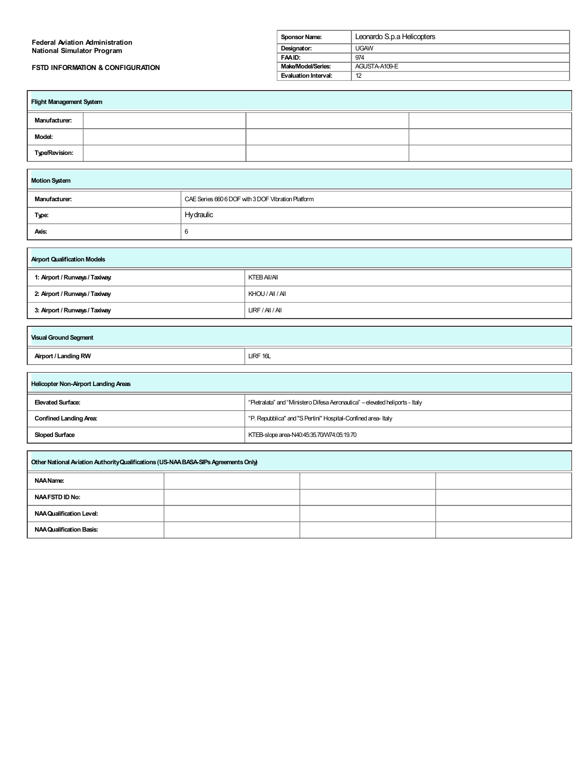| <b>Federal Aviation Administration</b>      | Sponsor Name:        | Leonardo S.p.a Helicopters |
|---------------------------------------------|----------------------|----------------------------|
| National Simulator Program                  | Designator:          | <b>UGAW</b>                |
|                                             | FAAID:               | 974                        |
| <b>FSTD INFORMATION &amp; CONFIGURATION</b> | Make/Model/Series:   | AGUSTA-A109-E              |
|                                             | Evaluation Interval: | 12                         |

| Flight Management System |  |  |  |  |
|--------------------------|--|--|--|--|
| Manufacturer:            |  |  |  |  |
| Model:                   |  |  |  |  |
| Type/Revision:           |  |  |  |  |

| <b>Motion System</b>                                                |           |  |  |  |
|---------------------------------------------------------------------|-----------|--|--|--|
| CAE Series 660 6 DOF with 3 DOF Vibration Platform<br>Manufacturer: |           |  |  |  |
| Type:                                                               | Hydraulic |  |  |  |
| Axis:                                                               | 6         |  |  |  |

| <b>Airport Qualification Models</b> |                  |  |  |
|-------------------------------------|------------------|--|--|
| 1: Airport / Runways / Taxiway.     | KTEB AII/AII     |  |  |
| 2: Airport / Runways / Taxiway      | KHOU / AII / AII |  |  |
| 3: Airport / Runways / Taxiway      | LIRF/Al/Al       |  |  |
|                                     |                  |  |  |
|                                     |                  |  |  |

| <b>Visual Ground Segment</b> |          |
|------------------------------|----------|
| Airport / Landing RW         | LIRF 16L |

 $\Box$ 

| Helicopter Non-Airport Landing Areas                               |                                                                              |  |  |  |
|--------------------------------------------------------------------|------------------------------------------------------------------------------|--|--|--|
| Elevated Surface:                                                  | "Pietralata" and "Ministero Difesa Aeronautica" - elevated heliports - Italy |  |  |  |
| <b>Confined Landing Area:</b>                                      | "P. Repubblica" and "S Pertini" Hospital-Confined area-Italy                 |  |  |  |
| <b>Sloped Surface</b><br>KTEB-slope area-N40:45:35.70/W74:05:19.70 |                                                                              |  |  |  |
|                                                                    |                                                                              |  |  |  |
|                                                                    |                                                                              |  |  |  |

| Other National Aviation Authority Qualifications (US-NAA BASA-SIPs Agreements Only) |  |  |  |
|-------------------------------------------------------------------------------------|--|--|--|
| NAA Name:                                                                           |  |  |  |
| <b>NAA FSTD ID No:</b>                                                              |  |  |  |
| <b>NAA Qualification Level:</b>                                                     |  |  |  |
| <b>NAA Qualification Basis:</b>                                                     |  |  |  |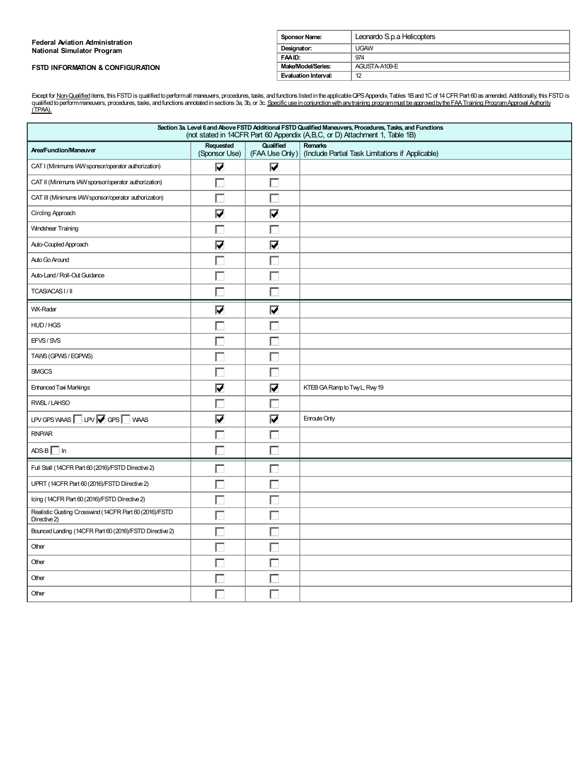| <b>Federal Aviation Administration</b>      | <b>Sponsor Name:</b> | Leonardo S.p.a Helicopters |
|---------------------------------------------|----------------------|----------------------------|
| <b>National Simulator Program</b>           | Designator:          | <b>UGAW</b>                |
|                                             | FAAID:               | 974                        |
| <b>FSTD INFORMATION &amp; CONFIGURATION</b> | Make/Model/Series:   | AGUSTA-A109-E              |
|                                             | Evaluation Interval: | 12                         |

Except for <u>Non-Qualified</u> items, this FSTD is qualified to performall maneuvers, procedures, tasks, and functions listed in the applicable QPS Appendix, Tables 1B and 1C of 14 CFR Part 60 as amended. Additionally, this FS

| Section 3a. Level 6 and Above FSTD Additional FSTD Qualified Maneuvers, Procedures, Tasks, and Functions<br>(not stated in 14CFR Part 60 Appendix (A,B,C, or D) Attachment 1, Table 1B) |                            |                                 |                                                             |  |  |
|-----------------------------------------------------------------------------------------------------------------------------------------------------------------------------------------|----------------------------|---------------------------------|-------------------------------------------------------------|--|--|
| <b>Area/Function/Maneuver</b>                                                                                                                                                           | Requested<br>(Sponsor Use) | Qualified<br>(FAA Use Only)     | Remarks<br>(Include Partial Task Limitations if Applicable) |  |  |
| CAT I (Minimums IAW sponsor/operator authorization)                                                                                                                                     | $\overline{\mathbf{v}}$    | $\overline{\bm{\nabla}}$        |                                                             |  |  |
| CAT II (Minimums IAW sponsor/operator authorization)                                                                                                                                    | г                          |                                 |                                                             |  |  |
| CAT III (Minimums IAW sponsor/operator authorization)                                                                                                                                   | Г                          |                                 |                                                             |  |  |
| Circling Approach                                                                                                                                                                       | $\overline{\mathbf{v}}$    | $\overline{\blacktriangledown}$ |                                                             |  |  |
| <b>Windshear Training</b>                                                                                                                                                               | г                          |                                 |                                                             |  |  |
| Auto-Coupled Approach                                                                                                                                                                   | $\overline{\mathbf{v}}$    | $\overline{\mathbf{v}}$         |                                                             |  |  |
| Auto Go Around                                                                                                                                                                          | г                          |                                 |                                                             |  |  |
| Auto-Land / Roll-Out Guidance                                                                                                                                                           | г                          |                                 |                                                             |  |  |
| TCAS/ACAS I/II                                                                                                                                                                          | г                          |                                 |                                                             |  |  |
| WX-Radar                                                                                                                                                                                | $\overline{\mathbf{V}}$    | $\overline{\bm{\nabla}}$        |                                                             |  |  |
| HUD/HGS                                                                                                                                                                                 | г                          |                                 |                                                             |  |  |
| EFVS/SVS                                                                                                                                                                                | Г                          |                                 |                                                             |  |  |
| TAWS (GPWS / EGPWS)                                                                                                                                                                     | г                          |                                 |                                                             |  |  |
| <b>SMGCS</b>                                                                                                                                                                            | г                          |                                 |                                                             |  |  |
| <b>Enhanced Taxi Markings</b>                                                                                                                                                           | $\overline{\mathbf{v}}$    | V                               | KTEB GA Ramp to Twy L, Rwy 19                               |  |  |
| RWSL/LAHSO                                                                                                                                                                              | Г                          |                                 |                                                             |  |  |
| LPV GPS WAAS $\Box$ LPV $\Box$ GPS $\Box$ WAAS                                                                                                                                          | $\overline{\mathbf{v}}$    | $\overline{\blacktriangledown}$ | Enroute Only                                                |  |  |
| RNP/AR                                                                                                                                                                                  | Г                          |                                 |                                                             |  |  |
| $ADS-B$ In                                                                                                                                                                              | г                          |                                 |                                                             |  |  |
| Full Stall (14CFR Part 60 (2016)/FSTD Directive 2)                                                                                                                                      | г                          |                                 |                                                             |  |  |
| UPRT (14CFR Part 60 (2016)/FSTD Directive 2)                                                                                                                                            | Г                          |                                 |                                                             |  |  |
| Icing (14CFR Part 60 (2016)/FSTD Directive 2)                                                                                                                                           | Г                          |                                 |                                                             |  |  |
| Realistic Gusting Crosswind (14CFR Part 60 (2016)/FSTD<br>Directive 2)                                                                                                                  |                            |                                 |                                                             |  |  |
| Bounced Landing (14CFR Part 60 (2016)/FSTD Directive 2)                                                                                                                                 | г                          |                                 |                                                             |  |  |
| Other                                                                                                                                                                                   | Г                          |                                 |                                                             |  |  |
| Other                                                                                                                                                                                   | Г                          |                                 |                                                             |  |  |
| Other                                                                                                                                                                                   | L.                         |                                 |                                                             |  |  |
| Other                                                                                                                                                                                   | Г                          |                                 |                                                             |  |  |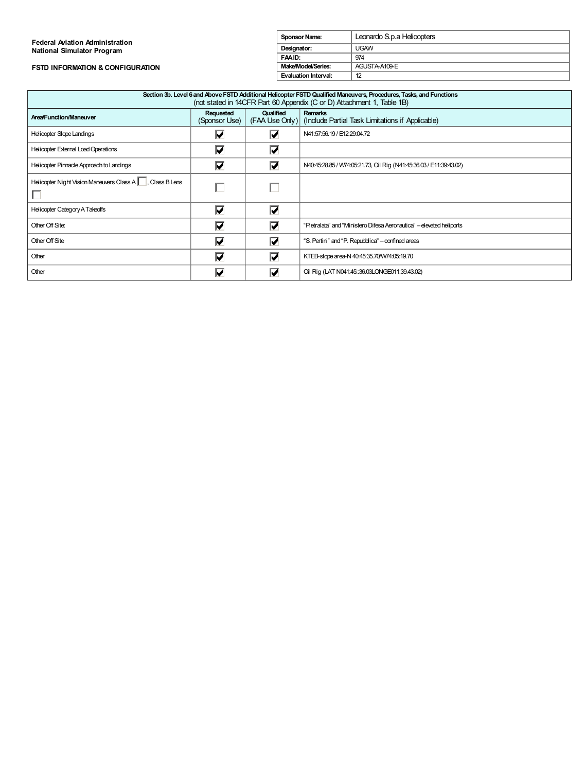#### **Federal Aviation Administration National Simulator Program**

### **FSTD INFORMATION & CONFIGURATION**

| <b>Sponsor Name:</b> | Leonardo S.p.a Helicopters |
|----------------------|----------------------------|
| Designator:          | UGAW                       |
| FAAID:               | 974                        |
| Make/Model/Series:   | AGUSTA-A109-E              |
| Evaluation Interval: | 12                         |

| Section 3b. Level 6 and Above FSTD Additional Helicopter FSTD Qualified Maneuvers, Procedures, Tasks, and Functions<br>(not stated in 14CFR Part 60 Appendix (C or D) Attachment 1, Table 1B) |                                 |                          |                                                                                   |  |  |  |
|-----------------------------------------------------------------------------------------------------------------------------------------------------------------------------------------------|---------------------------------|--------------------------|-----------------------------------------------------------------------------------|--|--|--|
| <b>Area/Function/Maneuver</b>                                                                                                                                                                 | Requested<br>(Sponsor Use)      | Qualified                | <b>Remarks</b><br>(FAA Use Only) (Include Partial Task Limitations if Applicable) |  |  |  |
| <b>Helicopter Slope Landings</b>                                                                                                                                                              | Ⅳ                               | ☑                        | N41:57:56.19 / E12:29:04.72                                                       |  |  |  |
| Helicopter External Load Operations                                                                                                                                                           | $\overline{\bm{\triangledown}}$ | $\overline{\bm{\nabla}}$ |                                                                                   |  |  |  |
| Helicopter Pinnacle Approach to Landings                                                                                                                                                      | $\overline{\mathbf{v}}$         | $\overline{\mathbf{v}}$  | N40:45:28.85 / W74:05:21.73, Oil Rig (N41:45:36.03 / E11:39:43.02)                |  |  |  |
| Helicopter Night Vision Maneuvers Class A   , Class B Lens                                                                                                                                    | г                               |                          |                                                                                   |  |  |  |
| Helicopter Category A Takeoffs                                                                                                                                                                | $\overline{\mathbf{v}}$         | $\overline{\mathbf{v}}$  |                                                                                   |  |  |  |
| Other Off Site:                                                                                                                                                                               | $\overline{\mathbf{v}}$         | $\overline{\mathbf{v}}$  | "Pietralata" and "Ministero Difesa Aeronautica" - elevated heliports              |  |  |  |
| Other Off Site                                                                                                                                                                                | $\overline{\mathbf{v}}$         | $\overline{\mathbf{v}}$  | "S. Pertini" and "P. Repubblica" - confined areas                                 |  |  |  |
| Other                                                                                                                                                                                         | $\overline{\bm{\triangledown}}$ | $\overline{\bm{\nabla}}$ | KTEB-slope area-N 40.45.35.70/W74.05:19.70                                        |  |  |  |
| Other                                                                                                                                                                                         | V                               | ∇                        | Oil Rig (LAT N041:45::36.03LONGE011:39.43.02)                                     |  |  |  |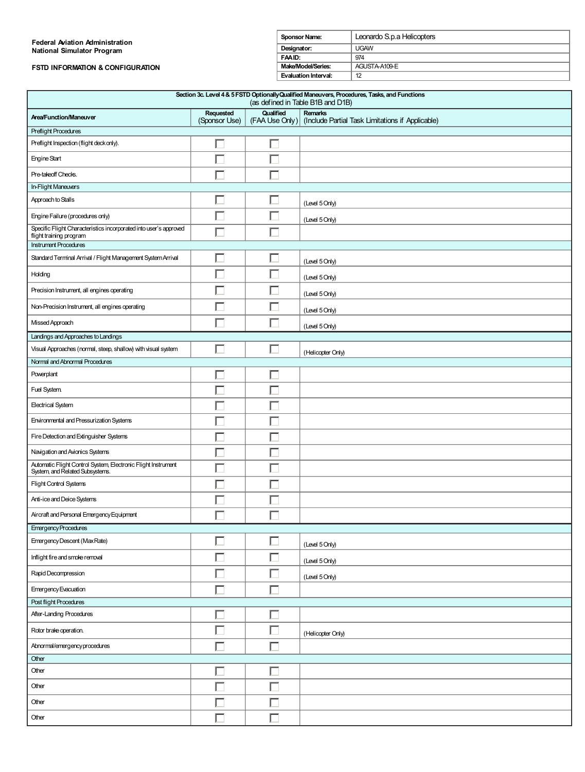#### **Federal Aviation Administration National Simulator Program**

### **FSTD INFORMATION & CONFIGURATION**

| <b>Sponsor Name:</b> | Leonardo S.p.a Helicopters |  |  |
|----------------------|----------------------------|--|--|
| Designator:          | UGAW                       |  |  |
| FAAID:               | 974                        |  |  |
| Make/Model/Series:   | AGUSTA-A109-E              |  |  |
| Evaluation Interval: | 12                         |  |  |

| Section 3c. Level 4 & 5 FSTD Optionally Qualified Maneuvers, Procedures, Tasks, and Functions<br>(as defined in Table B1B and D1B) |                            |           |                                                                                   |  |  |
|------------------------------------------------------------------------------------------------------------------------------------|----------------------------|-----------|-----------------------------------------------------------------------------------|--|--|
| <b>Area/Function/Maneuver</b>                                                                                                      | Requested<br>(Sponsor Use) | Qualified | <b>Remarks</b><br>(FAA Use Only) (Include Partial Task Limitations if Applicable) |  |  |
| <b>Preflight Procedures</b>                                                                                                        |                            |           |                                                                                   |  |  |
| Preflight Inspection (flight deck only).                                                                                           | Г                          |           |                                                                                   |  |  |
| <b>Engine Start</b>                                                                                                                | Г                          |           |                                                                                   |  |  |
| Pre-takeoff Checks.                                                                                                                | Г                          |           |                                                                                   |  |  |
| In-Flight Maneuvers                                                                                                                |                            |           |                                                                                   |  |  |
| Approach to Stalls                                                                                                                 | г                          |           | (Level 5 Only)                                                                    |  |  |
| Engine Failure (procedures only)                                                                                                   | L                          |           | (Level 5 Only)                                                                    |  |  |
| Specific Flight Characteristics incorporated into user's approved<br>flight training program                                       | Г                          | г         |                                                                                   |  |  |
| <b>Instrument Procedures</b>                                                                                                       |                            |           |                                                                                   |  |  |
| Standard Terminal Arrival / Flight Management System Arrival                                                                       | Г                          |           | (Level 5 Only)                                                                    |  |  |
| Holding                                                                                                                            |                            |           | (Level 5 Only)                                                                    |  |  |
| Precision Instrument, all engines operating                                                                                        | Г                          |           | (Level 5 Only)                                                                    |  |  |
| Non-Precision Instrument, all engines operating                                                                                    | г                          |           | (Level 5 Only)                                                                    |  |  |
| Missed Approach                                                                                                                    | г                          | L.        | (Level 5 Only)                                                                    |  |  |
| Landings and Approaches to Landings                                                                                                |                            |           |                                                                                   |  |  |
| Visual Approaches (normal, steep, shallow) with visual system                                                                      | г                          | г         | (Helicopter Only)                                                                 |  |  |
| Normal and Abnormal Procedures                                                                                                     |                            |           |                                                                                   |  |  |
| Powerplant                                                                                                                         | Г                          |           |                                                                                   |  |  |
| Fuel System.                                                                                                                       | L.                         |           |                                                                                   |  |  |
| <b>Electrical System</b>                                                                                                           | г                          |           |                                                                                   |  |  |
| Environmental and Pressurization Systems                                                                                           | Г                          |           |                                                                                   |  |  |
| Fire Detection and Extinguisher Systems                                                                                            | Г                          |           |                                                                                   |  |  |
| Navigation and Avionics Systems                                                                                                    | L.                         |           |                                                                                   |  |  |
| Automatic Flight Control System, Electronic Flight Instrument<br>System, and Related Subsystems.                                   | Г                          |           |                                                                                   |  |  |
| Flight Control Systems                                                                                                             | г                          |           |                                                                                   |  |  |
| Anti-ice and Deice Systems                                                                                                         | E                          | L         |                                                                                   |  |  |
| Aircraft and Personal Emergency Equipment                                                                                          | Г                          | г         |                                                                                   |  |  |
| <b>Emergency Procedures</b>                                                                                                        |                            |           |                                                                                   |  |  |
| Emergency Descent (Max Rate)                                                                                                       | 匚                          | 口         | (Level 5 Only)                                                                    |  |  |
| Inflight fire and smoke removal                                                                                                    | Г                          | $\Box$    | (Level 5 Only)                                                                    |  |  |
| Rapid Decompression                                                                                                                | П                          | $\Box$    | (Level 5 Only)                                                                    |  |  |
| Emergency Evacuation                                                                                                               | Г                          | $\Box$    |                                                                                   |  |  |
| Post flight Procedures                                                                                                             |                            |           |                                                                                   |  |  |
| After-Landing Procedures                                                                                                           | Γ                          | Г         |                                                                                   |  |  |
| Rotor brake operation.                                                                                                             | П                          | П         | (Helicopter Only)                                                                 |  |  |
| Abnormal/emergency procedures                                                                                                      | Г                          | Г         |                                                                                   |  |  |
| Other                                                                                                                              |                            |           |                                                                                   |  |  |
| Other                                                                                                                              | Е                          | Г         |                                                                                   |  |  |
| Other                                                                                                                              | Г                          |           |                                                                                   |  |  |
| Other                                                                                                                              | Г                          |           |                                                                                   |  |  |
| Other                                                                                                                              | Г                          | $\Box$    |                                                                                   |  |  |